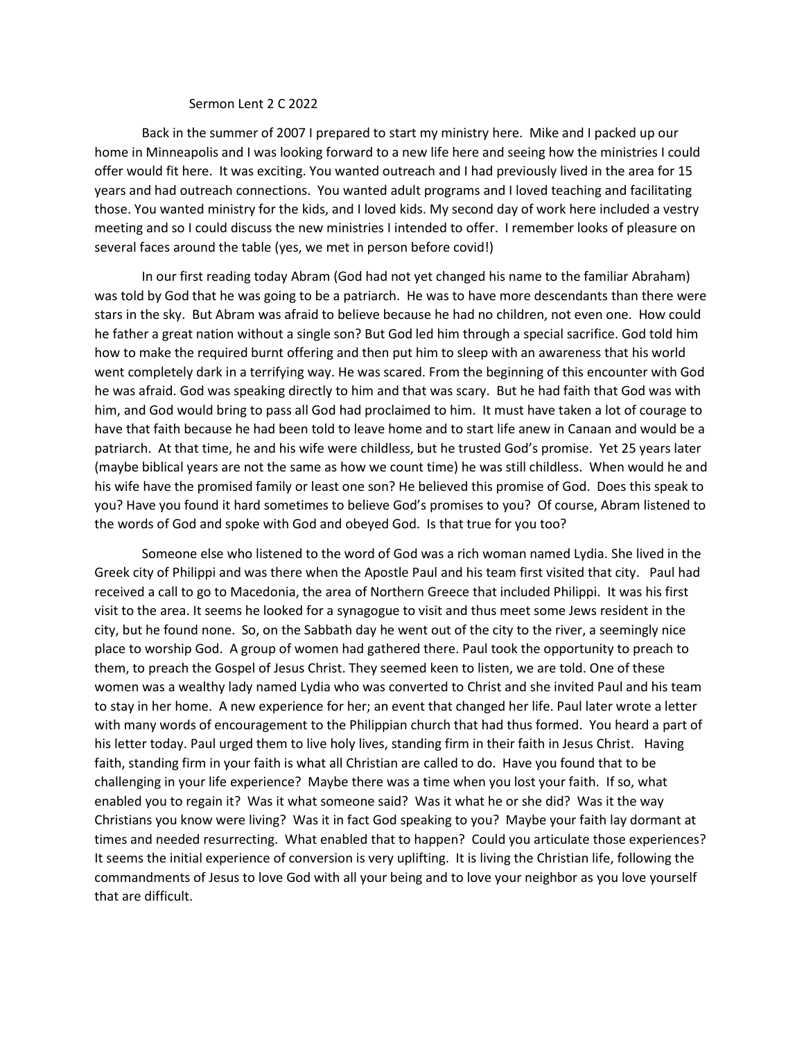## Sermon Lent 2 C 2022

Back in the summer of 2007 I prepared to start my ministry here. Mike and I packed up our home in Minneapolis and I was looking forward to a new life here and seeing how the ministries I could offer would fit here. It was exciting. You wanted outreach and I had previously lived in the area for 15 years and had outreach connections. You wanted adult programs and I loved teaching and facilitating those. You wanted ministry for the kids, and I loved kids. My second day of work here included a vestry meeting and so I could discuss the new ministries I intended to offer. I remember looks of pleasure on several faces around the table (yes, we met in person before covid!)

In our first reading today Abram (God had not yet changed his name to the familiar Abraham) was told by God that he was going to be a patriarch. He was to have more descendants than there were stars in the sky. But Abram was afraid to believe because he had no children, not even one. How could he father a great nation without a single son? But God led him through a special sacrifice. God told him how to make the required burnt offering and then put him to sleep with an awareness that his world went completely dark in a terrifying way. He was scared. From the beginning of this encounter with God he was afraid. God was speaking directly to him and that was scary. But he had faith that God was with him, and God would bring to pass all God had proclaimed to him. It must have taken a lot of courage to have that faith because he had been told to leave home and to start life anew in Canaan and would be a patriarch. At that time, he and his wife were childless, but he trusted God's promise. Yet 25 years later (maybe biblical years are not the same as how we count time) he was still childless. When would he and his wife have the promised family or least one son? He believed this promise of God. Does this speak to you? Have you found it hard sometimes to believe God's promises to you? Of course, Abram listened to the words of God and spoke with God and obeyed God. Is that true for you too?

Someone else who listened to the word of God was a rich woman named Lydia. She lived in the Greek city of Philippi and was there when the Apostle Paul and his team first visited that city. Paul had received a call to go to Macedonia, the area of Northern Greece that included Philippi. It was his first visit to the area. It seems he looked for a synagogue to visit and thus meet some Jews resident in the city, but he found none. So, on the Sabbath day he went out of the city to the river, a seemingly nice place to worship God. A group of women had gathered there. Paul took the opportunity to preach to them, to preach the Gospel of Jesus Christ. They seemed keen to listen, we are told. One of these women was a wealthy lady named Lydia who was converted to Christ and she invited Paul and his team to stay in her home. A new experience for her; an event that changed her life. Paul later wrote a letter with many words of encouragement to the Philippian church that had thus formed. You heard a part of his letter today. Paul urged them to live holy lives, standing firm in their faith in Jesus Christ. Having faith, standing firm in your faith is what all Christian are called to do. Have you found that to be challenging in your life experience? Maybe there was a time when you lost your faith. If so, what enabled you to regain it? Was it what someone said? Was it what he or she did? Was it the way Christians you know were living? Was it in fact God speaking to you? Maybe your faith lay dormant at times and needed resurrecting. What enabled that to happen? Could you articulate those experiences? It seems the initial experience of conversion is very uplifting. It is living the Christian life, following the commandments of Jesus to love God with all your being and to love your neighbor as you love yourself that are difficult.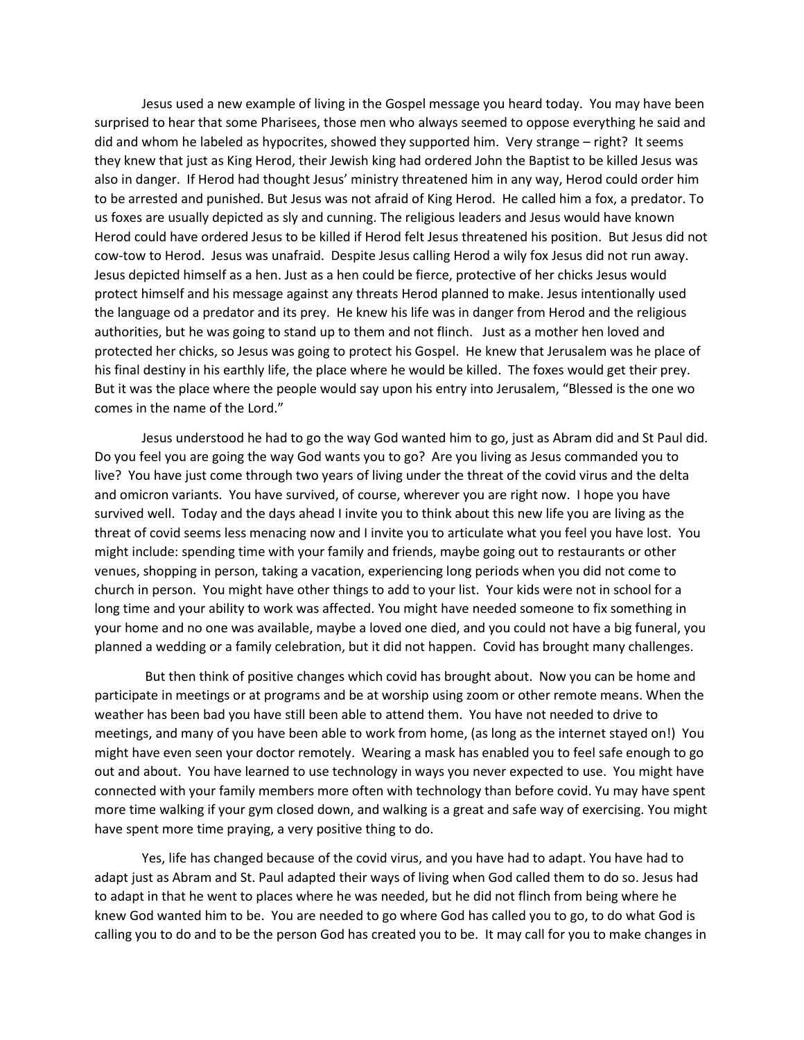Jesus used a new example of living in the Gospel message you heard today. You may have been surprised to hear that some Pharisees, those men who always seemed to oppose everything he said and did and whom he labeled as hypocrites, showed they supported him. Very strange – right? It seems they knew that just as King Herod, their Jewish king had ordered John the Baptist to be killed Jesus was also in danger. If Herod had thought Jesus' ministry threatened him in any way, Herod could order him to be arrested and punished. But Jesus was not afraid of King Herod. He called him a fox, a predator. To us foxes are usually depicted as sly and cunning. The religious leaders and Jesus would have known Herod could have ordered Jesus to be killed if Herod felt Jesus threatened his position. But Jesus did not cow-tow to Herod. Jesus was unafraid. Despite Jesus calling Herod a wily fox Jesus did not run away. Jesus depicted himself as a hen. Just as a hen could be fierce, protective of her chicks Jesus would protect himself and his message against any threats Herod planned to make. Jesus intentionally used the language od a predator and its prey. He knew his life was in danger from Herod and the religious authorities, but he was going to stand up to them and not flinch. Just as a mother hen loved and protected her chicks, so Jesus was going to protect his Gospel. He knew that Jerusalem was he place of his final destiny in his earthly life, the place where he would be killed. The foxes would get their prey. But it was the place where the people would say upon his entry into Jerusalem, "Blessed is the one wo comes in the name of the Lord."

Jesus understood he had to go the way God wanted him to go, just as Abram did and St Paul did. Do you feel you are going the way God wants you to go? Are you living as Jesus commanded you to live? You have just come through two years of living under the threat of the covid virus and the delta and omicron variants. You have survived, of course, wherever you are right now. I hope you have survived well. Today and the days ahead I invite you to think about this new life you are living as the threat of covid seems less menacing now and I invite you to articulate what you feel you have lost. You might include: spending time with your family and friends, maybe going out to restaurants or other venues, shopping in person, taking a vacation, experiencing long periods when you did not come to church in person. You might have other things to add to your list. Your kids were not in school for a long time and your ability to work was affected. You might have needed someone to fix something in your home and no one was available, maybe a loved one died, and you could not have a big funeral, you planned a wedding or a family celebration, but it did not happen. Covid has brought many challenges.

But then think of positive changes which covid has brought about. Now you can be home and participate in meetings or at programs and be at worship using zoom or other remote means. When the weather has been bad you have still been able to attend them. You have not needed to drive to meetings, and many of you have been able to work from home, (as long as the internet stayed on!) You might have even seen your doctor remotely. Wearing a mask has enabled you to feel safe enough to go out and about. You have learned to use technology in ways you never expected to use. You might have connected with your family members more often with technology than before covid. Yu may have spent more time walking if your gym closed down, and walking is a great and safe way of exercising. You might have spent more time praying, a very positive thing to do.

Yes, life has changed because of the covid virus, and you have had to adapt. You have had to adapt just as Abram and St. Paul adapted their ways of living when God called them to do so. Jesus had to adapt in that he went to places where he was needed, but he did not flinch from being where he knew God wanted him to be. You are needed to go where God has called you to go, to do what God is calling you to do and to be the person God has created you to be. It may call for you to make changes in